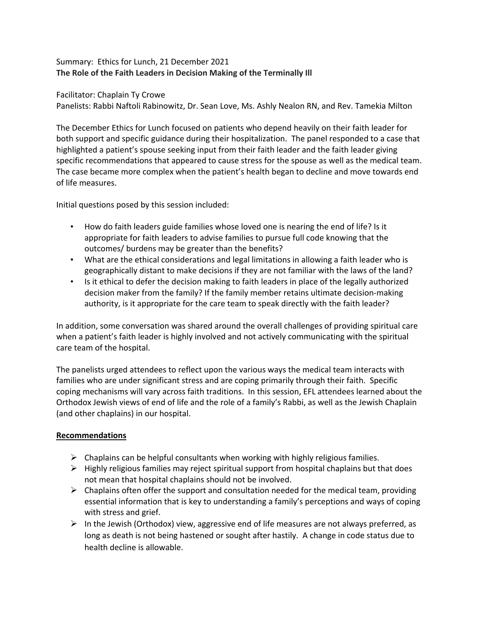## Summary: Ethics for Lunch, 21 December 2021 **The Role of the Faith Leaders in Decision Making of the Terminally Ill**

Facilitator: Chaplain Ty Crowe

Panelists: Rabbi Naftoli Rabinowitz, Dr. Sean Love, Ms. Ashly Nealon RN, and Rev. Tamekia Milton

The December Ethics for Lunch focused on patients who depend heavily on their faith leader for both support and specific guidance during their hospitalization. The panel responded to a case that highlighted a patient's spouse seeking input from their faith leader and the faith leader giving specific recommendations that appeared to cause stress for the spouse as well as the medical team. The case became more complex when the patient's health began to decline and move towards end of life measures.

Initial questions posed by this session included:

- How do faith leaders guide families whose loved one is nearing the end of life? Is it appropriate for faith leaders to advise families to pursue full code knowing that the outcomes/ burdens may be greater than the benefits?
- What are the ethical considerations and legal limitations in allowing a faith leader who is geographically distant to make decisions if they are not familiar with the laws of the land?
- Is it ethical to defer the decision making to faith leaders in place of the legally authorized decision maker from the family? If the family member retains ultimate decision-making authority, is it appropriate for the care team to speak directly with the faith leader?

In addition, some conversation was shared around the overall challenges of providing spiritual care when a patient's faith leader is highly involved and not actively communicating with the spiritual care team of the hospital.

The panelists urged attendees to reflect upon the various ways the medical team interacts with families who are under significant stress and are coping primarily through their faith. Specific coping mechanisms will vary across faith traditions. In this session, EFL attendees learned about the Orthodox Jewish views of end of life and the role of a family's Rabbi, as well as the Jewish Chaplain (and other chaplains) in our hospital.

## **Recommendations**

- $\triangleright$  Chaplains can be helpful consultants when working with highly religious families.
- $\triangleright$  Highly religious families may reject spiritual support from hospital chaplains but that does not mean that hospital chaplains should not be involved.
- $\triangleright$  Chaplains often offer the support and consultation needed for the medical team, providing essential information that is key to understanding a family's perceptions and ways of coping with stress and grief.
- $\triangleright$  In the Jewish (Orthodox) view, aggressive end of life measures are not always preferred, as long as death is not being hastened or sought after hastily. A change in code status due to health decline is allowable.